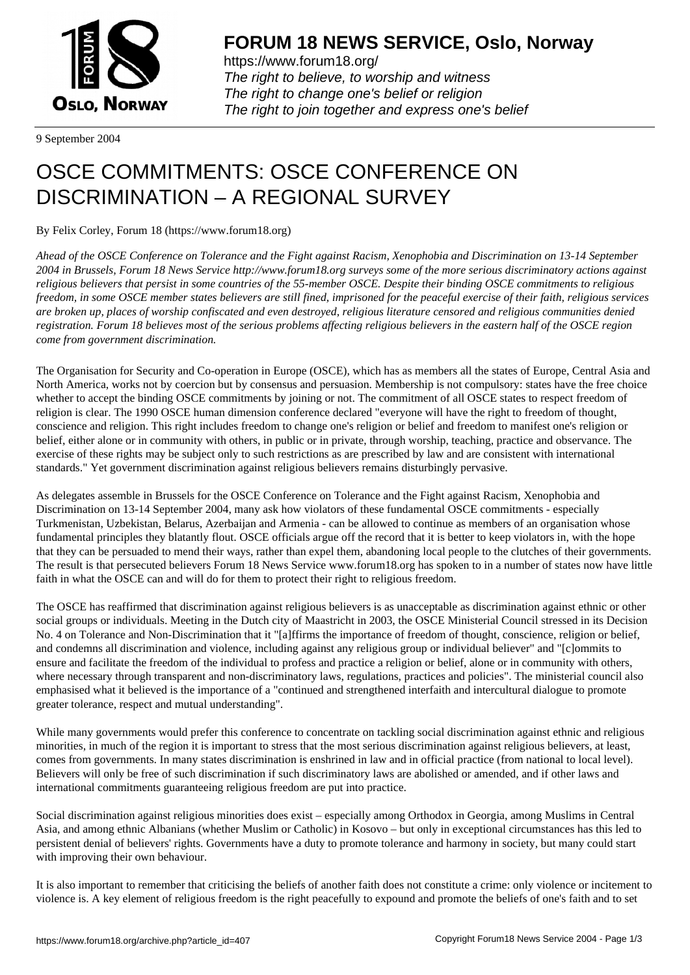

https://www.forum18.org/ The right to believe, to worship and witness The right to change one's belief or religion [The right to join together a](https://www.forum18.org/)nd express one's belief

9 September 2004

## [OSCE COMMIT](https://www.forum18.org)MENTS: OSCE CONFERENCE ON DISCRIMINATION – A REGIONAL SURVEY

By Felix Corley, Forum 18 (https://www.forum18.org)

*Ahead of the OSCE Conference on Tolerance and the Fight against Racism, Xenophobia and Discrimination on 13-14 September 2004 in Brussels, Forum 18 News Service http://www.forum18.org surveys some of the more serious discriminatory actions against religious believers that persist in some countries of the 55-member OSCE. Despite their binding OSCE commitments to religious freedom, in some OSCE member states believers are still fined, imprisoned for the peaceful exercise of their faith, religious services are broken up, places of worship confiscated and even destroyed, religious literature censored and religious communities denied registration. Forum 18 believes most of the serious problems affecting religious believers in the eastern half of the OSCE region come from government discrimination.*

The Organisation for Security and Co-operation in Europe (OSCE), which has as members all the states of Europe, Central Asia and North America, works not by coercion but by consensus and persuasion. Membership is not compulsory: states have the free choice whether to accept the binding OSCE commitments by joining or not. The commitment of all OSCE states to respect freedom of religion is clear. The 1990 OSCE human dimension conference declared "everyone will have the right to freedom of thought, conscience and religion. This right includes freedom to change one's religion or belief and freedom to manifest one's religion or belief, either alone or in community with others, in public or in private, through worship, teaching, practice and observance. The exercise of these rights may be subject only to such restrictions as are prescribed by law and are consistent with international standards." Yet government discrimination against religious believers remains disturbingly pervasive.

As delegates assemble in Brussels for the OSCE Conference on Tolerance and the Fight against Racism, Xenophobia and Discrimination on 13-14 September 2004, many ask how violators of these fundamental OSCE commitments - especially Turkmenistan, Uzbekistan, Belarus, Azerbaijan and Armenia - can be allowed to continue as members of an organisation whose fundamental principles they blatantly flout. OSCE officials argue off the record that it is better to keep violators in, with the hope that they can be persuaded to mend their ways, rather than expel them, abandoning local people to the clutches of their governments. The result is that persecuted believers Forum 18 News Service www.forum18.org has spoken to in a number of states now have little faith in what the OSCE can and will do for them to protect their right to religious freedom.

The OSCE has reaffirmed that discrimination against religious believers is as unacceptable as discrimination against ethnic or other social groups or individuals. Meeting in the Dutch city of Maastricht in 2003, the OSCE Ministerial Council stressed in its Decision No. 4 on Tolerance and Non-Discrimination that it "[a]ffirms the importance of freedom of thought, conscience, religion or belief, and condemns all discrimination and violence, including against any religious group or individual believer" and "[c]ommits to ensure and facilitate the freedom of the individual to profess and practice a religion or belief, alone or in community with others, where necessary through transparent and non-discriminatory laws, regulations, practices and policies". The ministerial council also emphasised what it believed is the importance of a "continued and strengthened interfaith and intercultural dialogue to promote greater tolerance, respect and mutual understanding".

While many governments would prefer this conference to concentrate on tackling social discrimination against ethnic and religious minorities, in much of the region it is important to stress that the most serious discrimination against religious believers, at least, comes from governments. In many states discrimination is enshrined in law and in official practice (from national to local level). Believers will only be free of such discrimination if such discriminatory laws are abolished or amended, and if other laws and international commitments guaranteeing religious freedom are put into practice.

Social discrimination against religious minorities does exist – especially among Orthodox in Georgia, among Muslims in Central Asia, and among ethnic Albanians (whether Muslim or Catholic) in Kosovo – but only in exceptional circumstances has this led to persistent denial of believers' rights. Governments have a duty to promote tolerance and harmony in society, but many could start with improving their own behaviour.

It is also important to remember that criticising the beliefs of another faith does not constitute a crime: only violence or incitement to violence is. A key element of religious freedom is the right peacefully to expound and promote the beliefs of one's faith and to set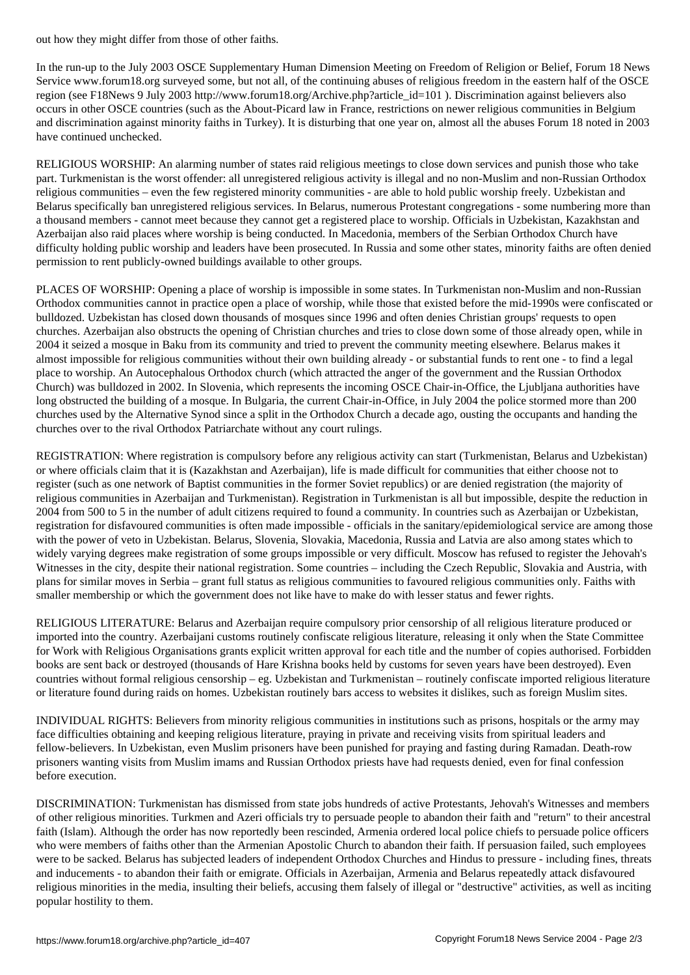In the run-up to the July 2003 OSCE Supplementary Human Dimension Meeting on Freedom of Religion or Belief, Forum 18 News Service www.forum18.org surveyed some, but not all, of the continuing abuses of religious freedom in the eastern half of the OSCE region (see F18News 9 July 2003 http://www.forum18.org/Archive.php?article\_id=101 ). Discrimination against believers also occurs in other OSCE countries (such as the About-Picard law in France, restrictions on newer religious communities in Belgium and discrimination against minority faiths in Turkey). It is disturbing that one year on, almost all the abuses Forum 18 noted in 2003 have continued unchecked.

RELIGIOUS WORSHIP: An alarming number of states raid religious meetings to close down services and punish those who take part. Turkmenistan is the worst offender: all unregistered religious activity is illegal and no non-Muslim and non-Russian Orthodox religious communities – even the few registered minority communities - are able to hold public worship freely. Uzbekistan and Belarus specifically ban unregistered religious services. In Belarus, numerous Protestant congregations - some numbering more than a thousand members - cannot meet because they cannot get a registered place to worship. Officials in Uzbekistan, Kazakhstan and Azerbaijan also raid places where worship is being conducted. In Macedonia, members of the Serbian Orthodox Church have difficulty holding public worship and leaders have been prosecuted. In Russia and some other states, minority faiths are often denied permission to rent publicly-owned buildings available to other groups.

PLACES OF WORSHIP: Opening a place of worship is impossible in some states. In Turkmenistan non-Muslim and non-Russian Orthodox communities cannot in practice open a place of worship, while those that existed before the mid-1990s were confiscated or bulldozed. Uzbekistan has closed down thousands of mosques since 1996 and often denies Christian groups' requests to open churches. Azerbaijan also obstructs the opening of Christian churches and tries to close down some of those already open, while in 2004 it seized a mosque in Baku from its community and tried to prevent the community meeting elsewhere. Belarus makes it almost impossible for religious communities without their own building already - or substantial funds to rent one - to find a legal place to worship. An Autocephalous Orthodox church (which attracted the anger of the government and the Russian Orthodox Church) was bulldozed in 2002. In Slovenia, which represents the incoming OSCE Chair-in-Office, the Ljubljana authorities have long obstructed the building of a mosque. In Bulgaria, the current Chair-in-Office, in July 2004 the police stormed more than 200 churches used by the Alternative Synod since a split in the Orthodox Church a decade ago, ousting the occupants and handing the churches over to the rival Orthodox Patriarchate without any court rulings.

REGISTRATION: Where registration is compulsory before any religious activity can start (Turkmenistan, Belarus and Uzbekistan) or where officials claim that it is (Kazakhstan and Azerbaijan), life is made difficult for communities that either choose not to register (such as one network of Baptist communities in the former Soviet republics) or are denied registration (the majority of religious communities in Azerbaijan and Turkmenistan). Registration in Turkmenistan is all but impossible, despite the reduction in 2004 from 500 to 5 in the number of adult citizens required to found a community. In countries such as Azerbaijan or Uzbekistan, registration for disfavoured communities is often made impossible - officials in the sanitary/epidemiological service are among those with the power of veto in Uzbekistan. Belarus, Slovenia, Slovakia, Macedonia, Russia and Latvia are also among states which to widely varying degrees make registration of some groups impossible or very difficult. Moscow has refused to register the Jehovah's Witnesses in the city, despite their national registration. Some countries – including the Czech Republic, Slovakia and Austria, with plans for similar moves in Serbia – grant full status as religious communities to favoured religious communities only. Faiths with smaller membership or which the government does not like have to make do with lesser status and fewer rights.

RELIGIOUS LITERATURE: Belarus and Azerbaijan require compulsory prior censorship of all religious literature produced or imported into the country. Azerbaijani customs routinely confiscate religious literature, releasing it only when the State Committee for Work with Religious Organisations grants explicit written approval for each title and the number of copies authorised. Forbidden books are sent back or destroyed (thousands of Hare Krishna books held by customs for seven years have been destroyed). Even countries without formal religious censorship – eg. Uzbekistan and Turkmenistan – routinely confiscate imported religious literature or literature found during raids on homes. Uzbekistan routinely bars access to websites it dislikes, such as foreign Muslim sites.

INDIVIDUAL RIGHTS: Believers from minority religious communities in institutions such as prisons, hospitals or the army may face difficulties obtaining and keeping religious literature, praying in private and receiving visits from spiritual leaders and fellow-believers. In Uzbekistan, even Muslim prisoners have been punished for praying and fasting during Ramadan. Death-row prisoners wanting visits from Muslim imams and Russian Orthodox priests have had requests denied, even for final confession before execution.

DISCRIMINATION: Turkmenistan has dismissed from state jobs hundreds of active Protestants, Jehovah's Witnesses and members of other religious minorities. Turkmen and Azeri officials try to persuade people to abandon their faith and "return" to their ancestral faith (Islam). Although the order has now reportedly been rescinded, Armenia ordered local police chiefs to persuade police officers who were members of faiths other than the Armenian Apostolic Church to abandon their faith. If persuasion failed, such employees were to be sacked. Belarus has subjected leaders of independent Orthodox Churches and Hindus to pressure - including fines, threats and inducements - to abandon their faith or emigrate. Officials in Azerbaijan, Armenia and Belarus repeatedly attack disfavoured religious minorities in the media, insulting their beliefs, accusing them falsely of illegal or "destructive" activities, as well as inciting popular hostility to them.